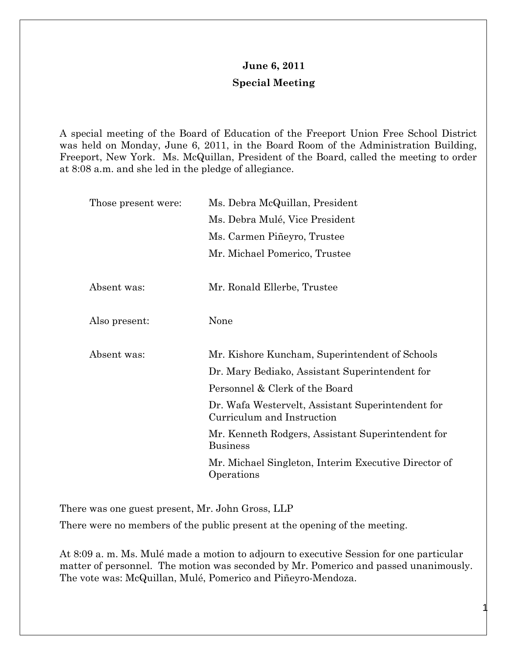## **June 6, 2011 Special Meeting**

A special meeting of the Board of Education of the Freeport Union Free School District was held on Monday, June 6, 2011, in the Board Room of the Administration Building, Freeport, New York. Ms. McQuillan, President of the Board, called the meeting to order at 8:08 a.m. and she led in the pledge of allegiance.

| Those present were: | Ms. Debra McQuillan, President                                                  |
|---------------------|---------------------------------------------------------------------------------|
|                     | Ms. Debra Mulé, Vice President                                                  |
|                     | Ms. Carmen Piñeyro, Trustee                                                     |
|                     | Mr. Michael Pomerico, Trustee                                                   |
|                     |                                                                                 |
| Absent was:         | Mr. Ronald Ellerbe, Trustee                                                     |
|                     |                                                                                 |
| Also present:       | None                                                                            |
|                     |                                                                                 |
| Absent was:         | Mr. Kishore Kuncham, Superintendent of Schools                                  |
|                     | Dr. Mary Bediako, Assistant Superintendent for                                  |
|                     | Personnel & Clerk of the Board                                                  |
|                     | Dr. Wafa Westervelt, Assistant Superintendent for<br>Curriculum and Instruction |
|                     | Mr. Kenneth Rodgers, Assistant Superintendent for<br><b>Business</b>            |
|                     | Mr. Michael Singleton, Interim Executive Director of<br>Operations              |

There was one guest present, Mr. John Gross, LLP

There were no members of the public present at the opening of the meeting.

At 8:09 a. m. Ms. Mulé made a motion to adjourn to executive Session for one particular matter of personnel. The motion was seconded by Mr. Pomerico and passed unanimously. The vote was: McQuillan, Mulé, Pomerico and Piñeyro-Mendoza.

1